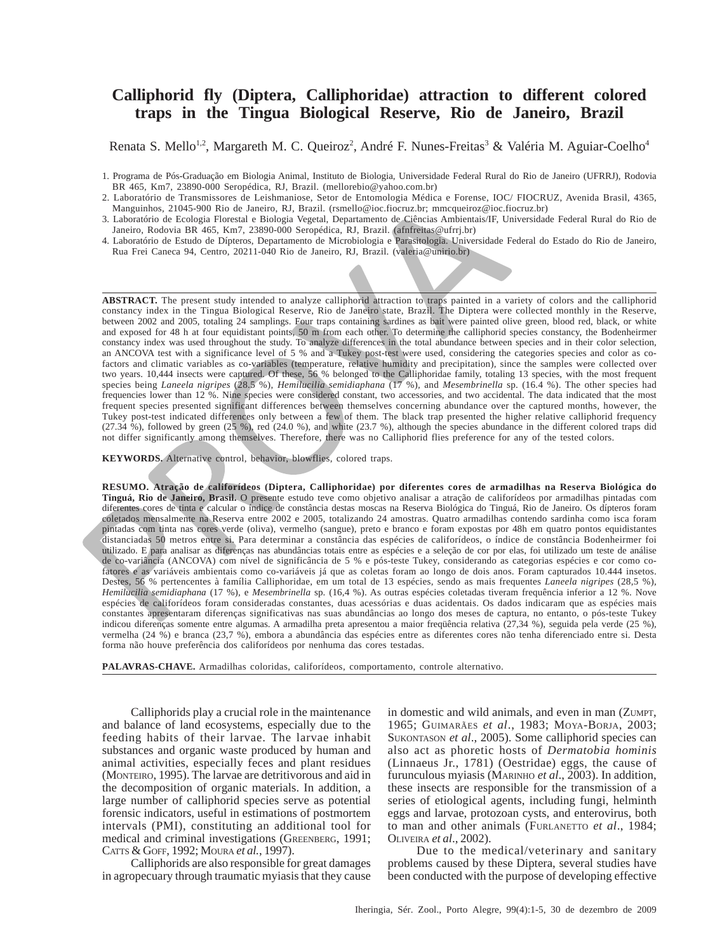# **Calliphorid fly (Diptera, Calliphoridae) attraction to different colored traps in the Tingua Biological Reserve, Rio de Janeiro, Brazil**

Renata S. Mello<sup>1,2</sup>, Margareth M. C. Queiroz<sup>2</sup>, André F. Nunes-Freitas<sup>3</sup> & Valéria M. Aguiar-Coelho<sup>4</sup>

**ABSTRACT.** The present study intended to analyze calliphorid attraction to traps painted in a variety of colors and the calliphorid constancy index in the Tingua Biological Reserve, Rio de Janeiro state, Brazil. The Diptera were collected monthly in the Reserve, between 2002 and 2005, totaling 24 samplings. Four traps containing sardines as bait were painted olive green, blood red, black, or white and exposed for 48 h at four equidistant points, 50 m from each other. To determine the calliphorid species constancy, the Bodenheirmer constancy index was used throughout the study. To analyze differences in the total abundance between species and in their color selection, an ANCOVA test with a significance level of 5 % and a Tukey post-test were used, considering the categories species and color as cofactors and climatic variables as co-variables (temperature, relative humidity and precipitation), since the samples were collected over two years. 10,444 insects were captured. Of these, 56 % belonged to the Calliphoridae family, totaling 13 species, with the most frequent species being *Laneela nigripes* (28.5 %), *Hemilucilia semidiaphana* (17 %)*,* and *Mesembrinella* sp. (16.4 %). The other species had frequencies lower than 12 %. Nine species were considered constant, two accessories, and two accidental. The data indicated that the most frequent species presented significant differences between themselves concerning abundance over the captured months, however, the Tukey post-test indicated differences only between a few of them. The black trap presented the higher relative calliphorid frequency (27.34 %), followed by green (25 %), red (24.0 %), and white (23.7 %), although the species abundance in the different colored traps did not differ significantly among themselves. Therefore, there was no Calliphorid flies preference for any of the tested colors.

**KEYWORDS.** Alternative control, behavior, blowflies, colored traps.

**RESUMO. Atração de califorídeos (Diptera, Calliphoridae) por diferentes cores de armadilhas na Reserva Biológica do Tinguá, Rio de Janeiro, Brasil.** O presente estudo teve como objetivo analisar a atração de califorídeos por armadilhas pintadas com diferentes cores de tinta e calcular o índice de constância destas moscas na Reserva Biológica do Tinguá, Rio de Janeiro. Os dípteros foram coletados mensalmente na Reserva entre 2002 e 2005, totalizando 24 amostras. Quatro armadilhas contendo sardinha como isca foram pintadas com tinta nas cores verde (oliva), vermelho (sangue), preto e branco e foram expostas por 48h em quatro pontos equidistantes distanciadas 50 metros entre si. Para determinar a constância das espécies de califorídeos, o índice de constância Bodenheirmer foi utilizado. E para analisar as diferenças nas abundâncias totais entre as espécies e a seleção de cor por elas, foi utilizado um teste de análise de co-variância (ANCOVA) com nível de significância de 5 % e pós-teste Tukey, considerando as categorias espécies e cor como cofatores e as variáveis ambientais como co-variáveis já que as coletas foram ao longo de dois anos. Foram capturados 10.444 insetos. Destes, 56 % pertencentes à família Calliphoridae, em um total de 13 espécies, sendo as mais frequentes *Laneela nigripes* (28,5 %), *Hemilucilia semidiaphana* (17 %), e *Mesembrinella* sp. (16,4 %). As outras espécies coletadas tiveram frequência inferior a 12 %. Nove espécies de califorídeos foram consideradas constantes, duas acessórias e duas acidentais. Os dados indicaram que as espécies mais constantes apresentaram diferenças significativas nas suas abundâncias ao longo dos meses de captura, no entanto, o pós-teste Tukey indicou diferenças somente entre algumas. A armadilha preta apresentou a maior freqüência relativa (27,34 %), seguida pela verde (25 %), vermelha (24 %) e branca (23,7 %), embora a abundância das espécies entre as diferentes cores não tenha diferenciado entre si. Desta forma não houve preferência dos califorídeos por nenhuma das cores testadas.

**PALAVRAS-CHAVE.** Armadilhas coloridas, califorídeos, comportamento, controle alternativo.

Calliphorids play a crucial role in the maintenance and balance of land ecosystems, especially due to the feeding habits of their larvae. The larvae inhabit substances and organic waste produced by human and animal activities, especially feces and plant residues (MONTEIRO, 1995). The larvae are detritivorous and aid in the decomposition of organic materials. In addition, a large number of calliphorid species serve as potential forensic indicators, useful in estimations of postmortem intervals (PMI), constituting an additional tool for medical and criminal investigations (GREENBERG, 1991; CATTS & GOFF, 1992; MOURA *et al.*, 1997).

Calliphorids are also responsible for great damages in agropecuary through traumatic myiasis that they cause in domestic and wild animals, and even in man (ZUMPT, 1965; GUIMARÃES *et al*., 1983; MOYA-BORJA, 2003; SUKONTASON *et al*., 2005). Some calliphorid species can also act as phoretic hosts of *Dermatobia hominis* (Linnaeus Jr., 1781) (Oestridae) eggs, the cause of furunculous myiasis (MARINHO *et al*., 2003). In addition, these insects are responsible for the transmission of a series of etiological agents, including fungi, helminth eggs and larvae, protozoan cysts, and enterovirus, both to man and other animals (FURLANETTO *et al*., 1984; OLIVEIRA *et al*., 2002).

Due to the medical/veterinary and sanitary problems caused by these Diptera, several studies have been conducted with the purpose of developing effective

<sup>1.</sup> Programa de Pós-Graduação em Biologia Animal, Instituto de Biologia, Universidade Federal Rural do Rio de Janeiro (UFRRJ), Rodovia BR 465, Km7, 23890-000 Seropédica, RJ, Brazil. (mellorebio@yahoo.com.br)

<sup>2.</sup> Laboratório de Transmissores de Leishmaniose, Setor de Entomologia Médica e Forense, IOC/ FIOCRUZ, Avenida Brasil, 4365, Manguinhos, 21045-900 Rio de Janeiro, RJ, Brazil. (rsmello@ioc.fiocruz.br; mmcqueiroz@ioc.fiocruz.br)

<sup>3.</sup> Laboratório de Ecologia Florestal e Biologia Vegetal, Departamento de Ciências Ambientais/IF, Universidade Federal Rural do Rio de Janeiro, Rodovia BR 465, Km7, 23890-000 Seropédica, RJ, Brazil. (afnfreitas@ufrrj.br)

<sup>4.</sup> Laboratório de Estudo de Dípteros, Departamento de Microbiologia e Parasitologia. Universidade Federal do Estado do Rio de Janeiro, Rua Frei Caneca 94, Centro, 20211-040 Rio de Janeiro, RJ, Brazil. (valeria@unirio.br)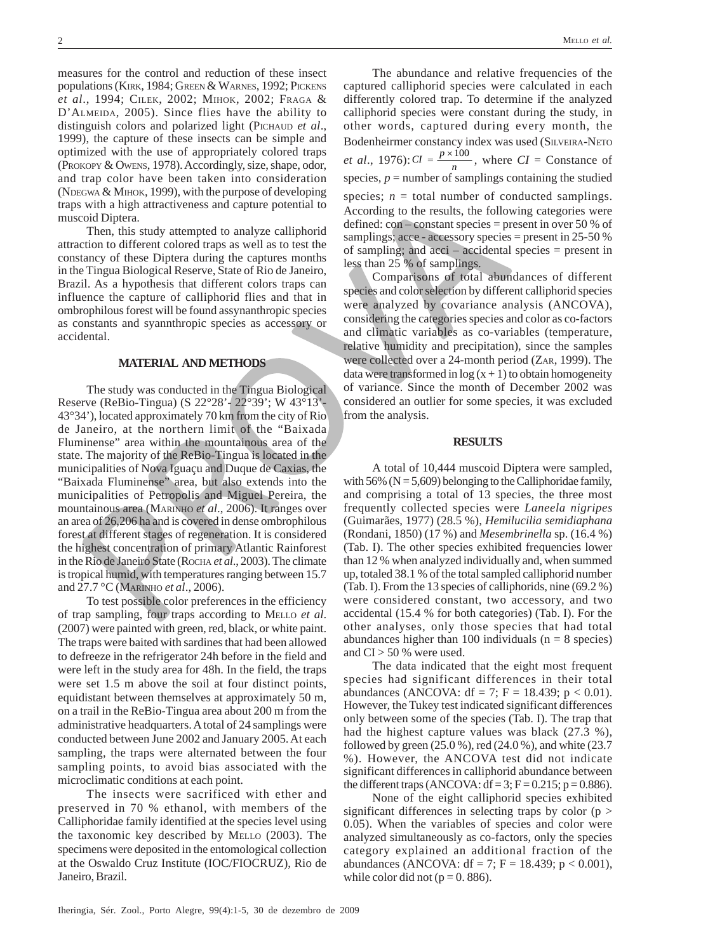measures for the control and reduction of these insect populations (KIRK, 1984; GREEN & WARNES, 1992; PICKENS *et al*., 1994; CILEK, 2002; MIHOK, 2002; FRAGA & D'ALMEIDA, 2005). Since flies have the ability to distinguish colors and polarized light (PICHAUD *et al*., 1999), the capture of these insects can be simple and optimized with the use of appropriately colored traps (PROKOPY & OWENS, 1978). Accordingly, size, shape, odor, and trap color have been taken into consideration (NDEGWA & MIHOK, 1999), with the purpose of developing traps with a high attractiveness and capture potential to muscoid Diptera.

Then, this study attempted to analyze calliphorid attraction to different colored traps as well as to test the constancy of these Diptera during the captures months in the Tingua Biological Reserve, State of Rio de Janeiro, Brazil. As a hypothesis that different colors traps can influence the capture of calliphorid flies and that in ombrophilous forest will be found assynanthropic species as constants and syannthropic species as accessory or accidental.

### **MATERIAL AND METHODS**

The study was conducted in the Tingua Biological Reserve (ReBio-Tingua) (S 22°28'- 22°39'; W 43°13'- 43°34'), located approximately 70 km from the city of Rio de Janeiro, at the northern limit of the "Baixada Fluminense" area within the mountainous area of the state. The majority of the ReBio-Tingua is located in the municipalities of Nova Iguaçu and Duque de Caxias, the "Baixada Fluminense" area, but also extends into the municipalities of Petropolis and Miguel Pereira, the mountainous area (MARINHO *et al*., 2006). It ranges over an area of 26,206 ha and is covered in dense ombrophilous forest at different stages of regeneration. It is considered the highest concentration of primary Atlantic Rainforest in the Rio de Janeiro State (ROCHA *et al*., 2003). The climate is tropical humid, with temperatures ranging between 15.7 and 27.7 °C (MARINHO *et al*., 2006).

To test possible color preferences in the efficiency of trap sampling, four traps according to MELLO *et al*. (2007) were painted with green, red, black, or white paint. The traps were baited with sardines that had been allowed to defreeze in the refrigerator 24h before in the field and were left in the study area for 48h. In the field, the traps were set 1.5 m above the soil at four distinct points, equidistant between themselves at approximately 50 m, on a trail in the ReBio-Tingua area about 200 m from the administrative headquarters. A total of 24 samplings were conducted between June 2002 and January 2005. At each sampling, the traps were alternated between the four sampling points, to avoid bias associated with the microclimatic conditions at each point.

The insects were sacrificed with ether and preserved in 70 % ethanol, with members of the Calliphoridae family identified at the species level using the taxonomic key described by MELLO (2003). The specimens were deposited in the entomological collection at the Oswaldo Cruz Institute (IOC/FIOCRUZ), Rio de Janeiro, Brazil.

The abundance and relative frequencies of the captured calliphorid species were calculated in each differently colored trap. To determine if the analyzed calliphorid species were constant during the study, in other words, captured during every month, the Bodenheirmer constancy index was used (SILVEIRA-NETO *et al.*, 1976):  $CI = \frac{p \times 100}{n}$ , where  $CI =$  Constance of species,  $p =$  number of samplings containing the studied species;  $n =$  total number of conducted samplings. According to the results, the following categories were defined: con – constant species = present in over 50 % of samplings; acce - accessory species = present in 25-50 % of sampling; and acci – accidental species = present in less than 25 % of samplings.

Comparisons of total abundances of different species and color selection by different calliphorid species were analyzed by covariance analysis (ANCOVA), considering the categories species and color as co-factors and climatic variables as co-variables (temperature, relative humidity and precipitation), since the samples were collected over a 24-month period (ZAR, 1999). The data were transformed in  $log(x + 1)$  to obtain homogeneity of variance. Since the month of December 2002 was considered an outlier for some species, it was excluded from the analysis.

### **RESULTS**

A total of 10,444 muscoid Diptera were sampled, with 56% ( $N = 5,609$ ) belonging to the Calliphoridae family, and comprising a total of 13 species, the three most frequently collected species were *Laneela nigripes* (Guimarães, 1977) (28.5 %), *Hemilucilia semidiaphana* (Rondani, 1850) (17 %) and *Mesembrinella* sp. (16.4 %) (Tab. I). The other species exhibited frequencies lower than 12 % when analyzed individually and, when summed up, totaled 38.1 % of the total sampled calliphorid number (Tab. I). From the 13 species of calliphorids, nine (69.2 %) were considered constant, two accessory, and two accidental (15.4 % for both categories) (Tab. I). For the other analyses, only those species that had total abundances higher than 100 individuals ( $n = 8$  species) and  $CI > 50$  % were used.

The data indicated that the eight most frequent species had significant differences in their total abundances (ANCOVA:  $df = 7$ ; F = 18.439; p < 0.01). However, the Tukey test indicated significant differences only between some of the species (Tab. I). The trap that had the highest capture values was black (27.3 %), followed by green (25.0 %), red (24.0 %), and white (23.7 %). However, the ANCOVA test did not indicate significant differences in calliphorid abundance between the different traps (ANCOVA:  $df = 3$ ;  $F = 0.215$ ;  $p = 0.886$ ).

None of the eight calliphorid species exhibited significant differences in selecting traps by color  $(p >$ 0.05). When the variables of species and color were analyzed simultaneously as co-factors, only the species category explained an additional fraction of the abundances (ANCOVA: df = 7; F = 18.439; p < 0.001), while color did not ( $p = 0.886$ ).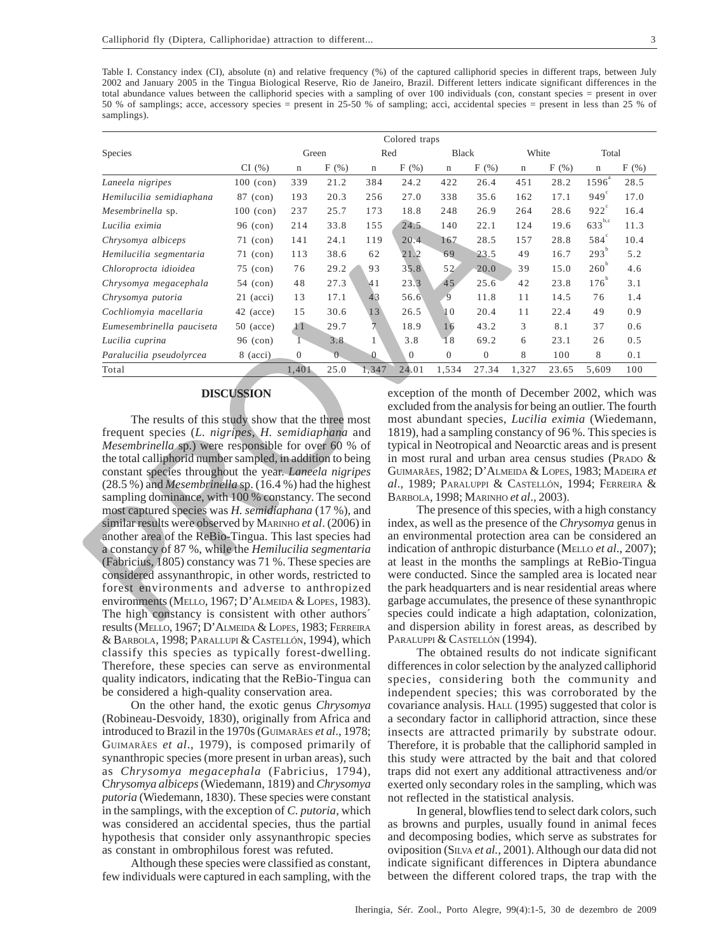Table I. Constancy index (CI), absolute (n) and relative frequency (%) of the captured calliphorid species in different traps, between July 2002 and January 2005 in the Tingua Biological Reserve, Rio de Janeiro, Brazil. Different letters indicate significant differences in the total abundance values between the calliphorid species with a sampling of over 100 individuals (con, constant species = present in over 50 % of samplings; acce, accessory species = present in 25-50 % of sampling; acci, accidental species = present in less than 25 % of samplings).

|                           | Colored traps |                |          |             |          |                 |              |             |       |               |      |
|---------------------------|---------------|----------------|----------|-------------|----------|-----------------|--------------|-------------|-------|---------------|------|
| <b>Species</b>            | Green         |                | Red      |             |          |                 | <b>Black</b> | White       |       | Total         |      |
|                           | CI(%)         | $\mathbf n$    | F(%)     | $\mathbf n$ | F(%)     | n               | F(%)         | $\mathbf n$ | F(%)  | $\mathbf n$   | F(%) |
| Laneela nigripes          | $100$ (con)   | 339            | 21.2     | 384         | 24.2     | 422             | 26.4         | 451         | 28.2  | $1596^{a}$    | 28.5 |
| Hemilucilia semidiaphana  | 87 (con)      | 193            | 20.3     | 256         | 27.0     | 338             | 35.6         | 162         | 17.1  | $949^\circ$   | 17.0 |
| Mesembrinella sp.         | $100$ (con)   | 237            | 25.7     | 173         | 18.8     | 248             | 26.9         | 264         | 28.6  | $922^\circ$   | 16.4 |
| Lucilia eximia            | $96$ (con)    | 214            | 33.8     | 155         | 24.5     | 140             | 22.1         | 124         | 19.6  | $633^{b,c}$   | 11.3 |
| Chrysomya albiceps        | $71$ (con)    | 141            | 24.1     | 119         | 20.4     | 167             | 28.5         | 157         | 28.8  | $584^\circ$   | 10.4 |
| Hemilucilia segmentaria   | $71$ (con)    | 113            | 38.6     | 62          | 21.2     | 69              | 23.5         | 49          | 16.7  | $293^{\circ}$ | 5.2  |
| Chloroprocta idioidea     | $75$ (con)    | 76             | 29.2     | 93          | 35.8     | 52              | 20.0         | 39          | 15.0  | $260^{\circ}$ | 4.6  |
| Chrysomya megacephala     | $54$ (con)    | 48             | 27.3     | 41          | 23.3     | 45              | 25.6         | 42          | 23.8  | $176^b$       | 3.1  |
| Chrysomya putoria         | $21$ (acci)   | 13             | 17.1     | 43          | 56.6     | 9               | 11.8         | 11          | 14.5  | 76            | 1.4  |
| Cochliomyia macellaria    | $42$ (acce)   | 15             | 30.6     | 13          | 26.5     | $\overline{10}$ | 20.4         | 11          | 22.4  | 49            | 0.9  |
| Eumesembrinella pauciseta | $50$ (acce)   | 11             | 29.7     | 7           | 18.9     | 16              | 43.2         | 3           | 8.1   | 37            | 0.6  |
| Lucilia cuprina           | 96 (con)      |                | 3.8      | 1           | 3.8      | 18              | 69.2         | 6           | 23.1  | 26            | 0.5  |
| Paralucilia pseudolyrcea  | $8$ (acci)    | $\overline{0}$ | $\theta$ | $\Omega$    | $\Omega$ | $\Omega$        | $\Omega$     | 8           | 100   | 8             | 0.1  |
| Total                     |               | 1,401          | 25.0     | 1,347       | 24.01    | 1,534           | 27.34        | 1,327       | 23.65 | 5,609         | 100  |

## **DISCUSSION**

The results of this study show that the three most frequent species (*L. nigripes*, *H. semidiaphana* and *Mesembrinella* sp.) were responsible for over 60 % of the total calliphorid number sampled, in addition to being constant species throughout the year. *Laneela nigripes* (28.5 %) and *Mesembrinella* sp. (16.4 %) had the highest sampling dominance, with 100 % constancy. The second most captured species was *H. semidiaphana* (17 %)*,* and similar results were observed by MARINHO *et al*. (2006) in another area of the ReBio-Tingua. This last species had a constancy of 87 %, while the *Hemilucilia segmentaria* (Fabricius, 1805) constancy was 71 %. These species are considered assynanthropic, in other words, restricted to forest environments and adverse to anthropized environments (MELLO, 1967; D'ALMEIDA & LOPES, 1983). The high constancy is consistent with other authors´ results (MELLO, 1967; D'ALMEIDA & LOPES, 1983; FERREIRA & BARBOLA, 1998; PARALLUPI & CASTELLÓN, 1994), which classify this species as typically forest-dwelling. Therefore, these species can serve as environmental quality indicators, indicating that the ReBio-Tingua can be considered a high-quality conservation area.

On the other hand, the exotic genus *Chrysomya* (Robineau-Desvoidy, 1830), originally from Africa and introduced to Brazil in the 1970s (GUIMARÃES *et al*., 1978; GUIMARÃES *et al*., 1979), is composed primarily of synanthropic species (more present in urban areas), such as *Chrysomya megacephala* (Fabricius, 1794), C*hrysomya albiceps* (Wiedemann, 1819) and *Chrysomya putoria* (Wiedemann, 1830). These species were constant in the samplings, with the exception of *C. putoria*, which was considered an accidental species, thus the partial hypothesis that consider only assynanthropic species as constant in ombrophilous forest was refuted.

Although these species were classified as constant, few individuals were captured in each sampling, with the exception of the month of December 2002, which was excluded from the analysis for being an outlier. The fourth most abundant species, *Lucilia eximia* (Wiedemann, 1819), had a sampling constancy of 96 %. This species is typical in Neotropical and Neoarctic areas and is present in most rural and urban area census studies (PRADO & GUIMARÃES, 1982; D'ALMEIDA & LOPES, 1983; MADEIRA *et al*., 1989; PARALUPPI & CASTELLÓN, 1994; FERREIRA & BARBOLA, 1998; MARINHO *et al*., 2003).

The presence of this species, with a high constancy index, as well as the presence of the *Chrysomya* genus in an environmental protection area can be considered an indication of anthropic disturbance (MELLO *et al*., 2007); at least in the months the samplings at ReBio-Tingua were conducted. Since the sampled area is located near the park headquarters and is near residential areas where garbage accumulates, the presence of these synanthropic species could indicate a high adaptation, colonization, and dispersion ability in forest areas, as described by PARALUPPI & CASTELLÓN (1994).

The obtained results do not indicate significant differences in color selection by the analyzed calliphorid species, considering both the community and independent species; this was corroborated by the covariance analysis. HALL (1995) suggested that color is a secondary factor in calliphorid attraction, since these insects are attracted primarily by substrate odour. Therefore, it is probable that the calliphorid sampled in this study were attracted by the bait and that colored traps did not exert any additional attractiveness and/or exerted only secondary roles in the sampling, which was not reflected in the statistical analysis.

In general, blowflies tend to select dark colors, such as browns and purples, usually found in animal feces and decomposing bodies, which serve as substrates for oviposition (SILVA *et al.*, 2001). Although our data did not indicate significant differences in Diptera abundance between the different colored traps, the trap with the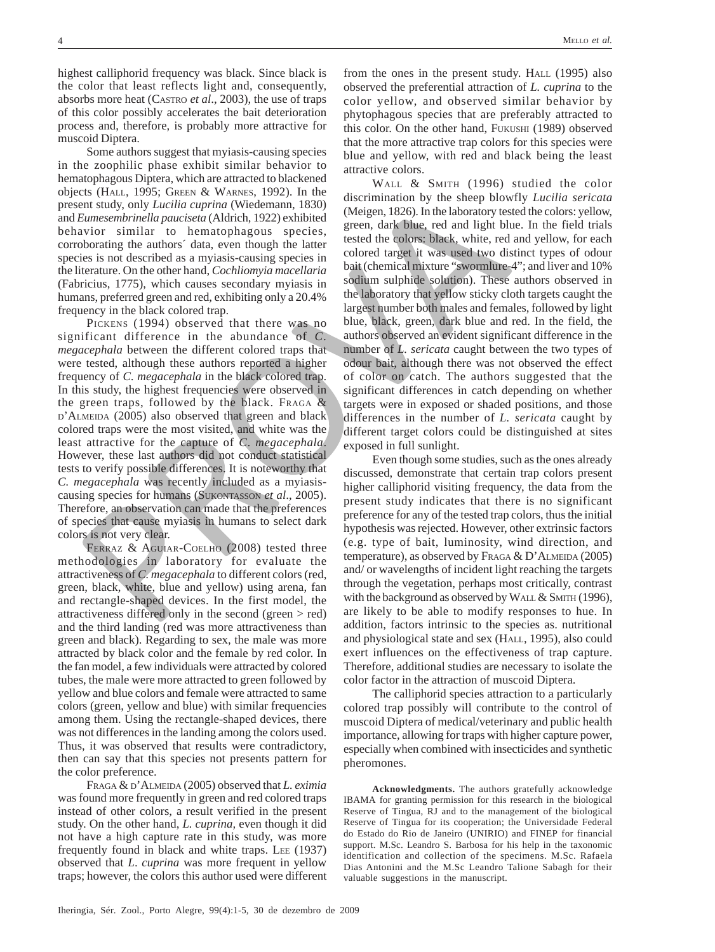highest calliphorid frequency was black. Since black is the color that least reflects light and, consequently, absorbs more heat (CASTRO *et al*., 2003), the use of traps of this color possibly accelerates the bait deterioration process and, therefore, is probably more attractive for muscoid Diptera.

Some authors suggest that myiasis-causing species in the zoophilic phase exhibit similar behavior to hematophagous Diptera, which are attracted to blackened objects (HALL, 1995; GREEN & WARNES, 1992). In the present study, only *Lucilia cuprina* (Wiedemann, 1830) and *Eumesembrinella pauciseta* (Aldrich, 1922) exhibited behavior similar to hematophagous species, corroborating the authors´ data, even though the latter species is not described as a myiasis-causing species in the literature. On the other hand, *Cochliomyia macellaria* (Fabricius, 1775), which causes secondary myiasis in humans, preferred green and red, exhibiting only a 20.4% frequency in the black colored trap.

PICKENS (1994) observed that there was no significant difference in the abundance of *C. megacephala* between the different colored traps that were tested, although these authors reported a higher frequency of *C. megacephala* in the black colored trap. In this study, the highest frequencies were observed in the green traps, followed by the black. FRAGA  $\&$ D'ALMEIDA (2005) also observed that green and black colored traps were the most visited, and white was the least attractive for the capture of *C*. *megacephala*. However, these last authors did not conduct statistical tests to verify possible differences. It is noteworthy that *C. megacephala* was recently included as a myiasiscausing species for humans (SUKONTASSON *et al*., 2005). Therefore, an observation can made that the preferences of species that cause myiasis in humans to select dark colors is not very clear.

FERRAZ & AGUIAR-COELHO (2008) tested three methodologies in laboratory for evaluate the attractiveness of *C. megacephala* to different colors (red, green, black, white, blue and yellow) using arena, fan and rectangle-shaped devices. In the first model, the attractiveness differed only in the second (green > red) and the third landing (red was more attractiveness than green and black). Regarding to sex, the male was more attracted by black color and the female by red color. In the fan model, a few individuals were attracted by colored tubes, the male were more attracted to green followed by yellow and blue colors and female were attracted to same colors (green, yellow and blue) with similar frequencies among them. Using the rectangle-shaped devices, there was not differences in the landing among the colors used. Thus, it was observed that results were contradictory, then can say that this species not presents pattern for the color preference.

FRAGA & D'ALMEIDA (2005) observed that *L. eximia* was found more frequently in green and red colored traps instead of other colors, a result verified in the present study. On the other hand, *L. cuprina,* even though it did not have a high capture rate in this study, was more frequently found in black and white traps. LEE (1937) observed that *L*. *cuprina* was more frequent in yellow traps; however, the colors this author used were different from the ones in the present study. HALL (1995) also observed the preferential attraction of *L. cuprina* to the color yellow, and observed similar behavior by phytophagous species that are preferably attracted to this color. On the other hand, FUKUSHI (1989) observed that the more attractive trap colors for this species were blue and yellow, with red and black being the least attractive colors.

WALL & SMITH (1996) studied the color discrimination by the sheep blowfly *Lucilia sericata* (Meigen, 1826). In the laboratory tested the colors: yellow, green, dark blue, red and light blue. In the field trials tested the colors: black, white, red and yellow, for each colored target it was used two distinct types of odour bait (chemical mixture "swormlure-4"; and liver and 10% sodium sulphide solution). These authors observed in the laboratory that yellow sticky cloth targets caught the largest number both males and females, followed by light blue, black, green, dark blue and red. In the field, the authors observed an evident significant difference in the number of *L. sericata* caught between the two types of odour bait, although there was not observed the effect of color on catch. The authors suggested that the significant differences in catch depending on whether targets were in exposed or shaded positions, and those differences in the number of *L. sericata* caught by different target colors could be distinguished at sites exposed in full sunlight.

Even though some studies, such as the ones already discussed, demonstrate that certain trap colors present higher calliphorid visiting frequency, the data from the present study indicates that there is no significant preference for any of the tested trap colors, thus the initial hypothesis was rejected. However, other extrinsic factors (e.g. type of bait, luminosity, wind direction, and temperature), as observed by FRAGA & D'ALMEIDA (2005) and/ or wavelengths of incident light reaching the targets through the vegetation, perhaps most critically, contrast with the background as observed by WALL & SMITH (1996), are likely to be able to modify responses to hue. In addition, factors intrinsic to the species as. nutritional and physiological state and sex (HALL, 1995), also could exert influences on the effectiveness of trap capture. Therefore, additional studies are necessary to isolate the color factor in the attraction of muscoid Diptera.

The calliphorid species attraction to a particularly colored trap possibly will contribute to the control of muscoid Diptera of medical/veterinary and public health importance, allowing for traps with higher capture power, especially when combined with insecticides and synthetic pheromones.

**Acknowledgments.** The authors gratefully acknowledge IBAMA for granting permission for this research in the biological Reserve of Tingua, RJ and to the management of the biological Reserve of Tingua for its cooperation; the Universidade Federal do Estado do Rio de Janeiro (UNIRIO) and FINEP for financial support. M.Sc. Leandro S. Barbosa for his help in the taxonomic identification and collection of the specimens. M.Sc. Rafaela Dias Antonini and the M.Sc Leandro Talione Sabagh for their valuable suggestions in the manuscript.